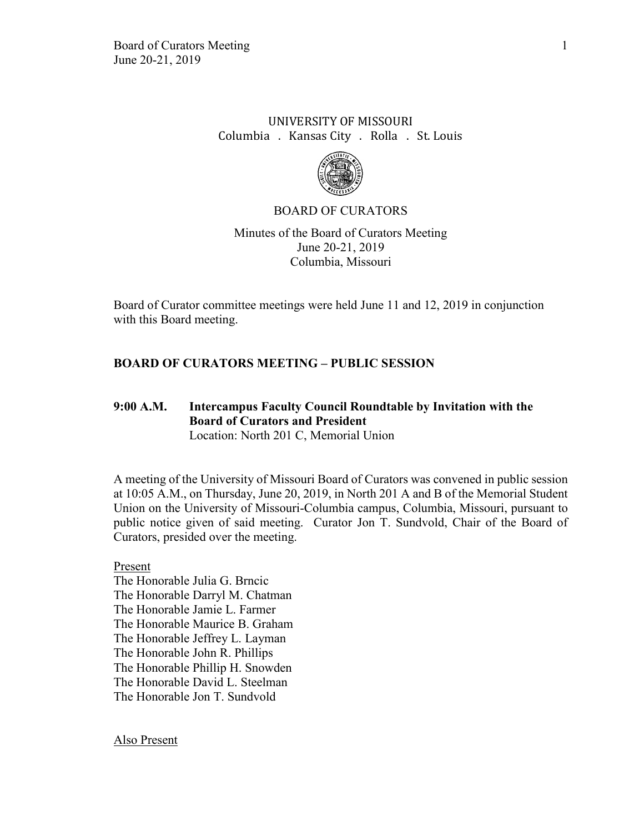# UNIVERSITY OF MISSOURI Columbia . Kansas City . Rolla . St. Louis



### BOARD OF CURATORS

Minutes of the Board of Curators Meeting June 20-21, 2019 Columbia, Missouri

Board of Curator committee meetings were held June 11 and 12, 2019 in conjunction with this Board meeting.

### **BOARD OF CURATORS MEETING – PUBLIC SESSION**

### **9:00 A.M. Intercampus Faculty Council Roundtable by Invitation with the Board of Curators and President** Location: North 201 C, Memorial Union

A meeting of the University of Missouri Board of Curators was convened in public session at 10:05 A.M., on Thursday, June 20, 2019, in North 201 A and B of the Memorial Student Union on the University of Missouri-Columbia campus, Columbia, Missouri, pursuant to public notice given of said meeting. Curator Jon T. Sundvold, Chair of the Board of Curators, presided over the meeting.

Present The Honorable Julia G. Brncic The Honorable Darryl M. Chatman The Honorable Jamie L. Farmer The Honorable Maurice B. Graham The Honorable Jeffrey L. Layman The Honorable John R. Phillips The Honorable Phillip H. Snowden The Honorable David L. Steelman The Honorable Jon T. Sundvold

Also Present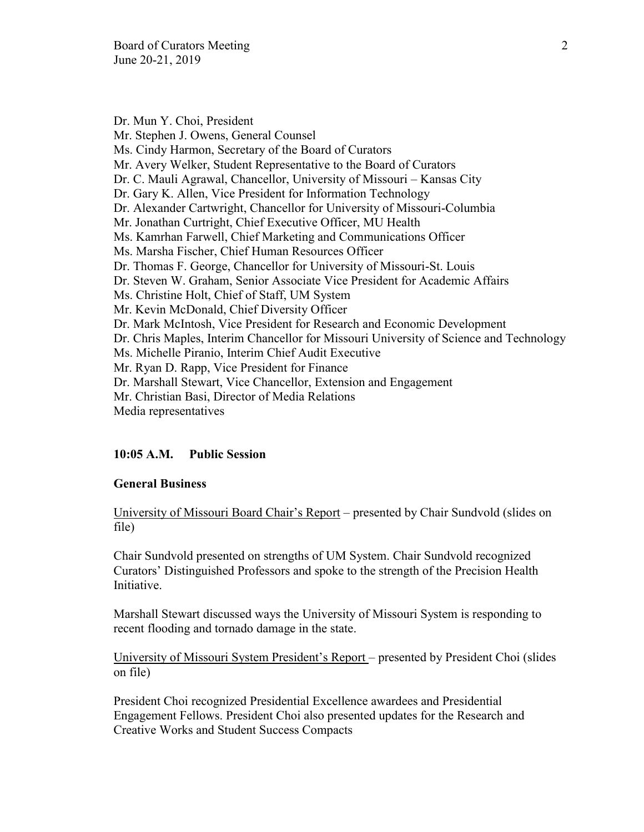Dr. Mun Y. Choi, President Mr. Stephen J. Owens, General Counsel Ms. Cindy Harmon, Secretary of the Board of Curators Mr. Avery Welker, Student Representative to the Board of Curators Dr. C. Mauli Agrawal, Chancellor, University of Missouri – Kansas City Dr. Gary K. Allen, Vice President for Information Technology Dr. Alexander Cartwright, Chancellor for University of Missouri-Columbia Mr. Jonathan Curtright, Chief Executive Officer, MU Health Ms. Kamrhan Farwell, Chief Marketing and Communications Officer Ms. Marsha Fischer, Chief Human Resources Officer Dr. Thomas F. George, Chancellor for University of Missouri-St. Louis Dr. Steven W. Graham, Senior Associate Vice President for Academic Affairs Ms. Christine Holt, Chief of Staff, UM System Mr. Kevin McDonald, Chief Diversity Officer Dr. Mark McIntosh, Vice President for Research and Economic Development Dr. Chris Maples, Interim Chancellor for Missouri University of Science and Technology Ms. Michelle Piranio, Interim Chief Audit Executive Mr. Ryan D. Rapp, Vice President for Finance Dr. Marshall Stewart, Vice Chancellor, Extension and Engagement Mr. Christian Basi, Director of Media Relations Media representatives

## **10:05 A.M. Public Session**

#### **General Business**

University of Missouri Board Chair's Report – presented by Chair Sundvold (slides on file)

Chair Sundvold presented on strengths of UM System. Chair Sundvold recognized Curators' Distinguished Professors and spoke to the strength of the Precision Health Initiative.

Marshall Stewart discussed ways the University of Missouri System is responding to recent flooding and tornado damage in the state.

University of Missouri System President's Report – presented by President Choi (slides on file)

President Choi recognized Presidential Excellence awardees and Presidential Engagement Fellows. President Choi also presented updates for the Research and Creative Works and Student Success Compacts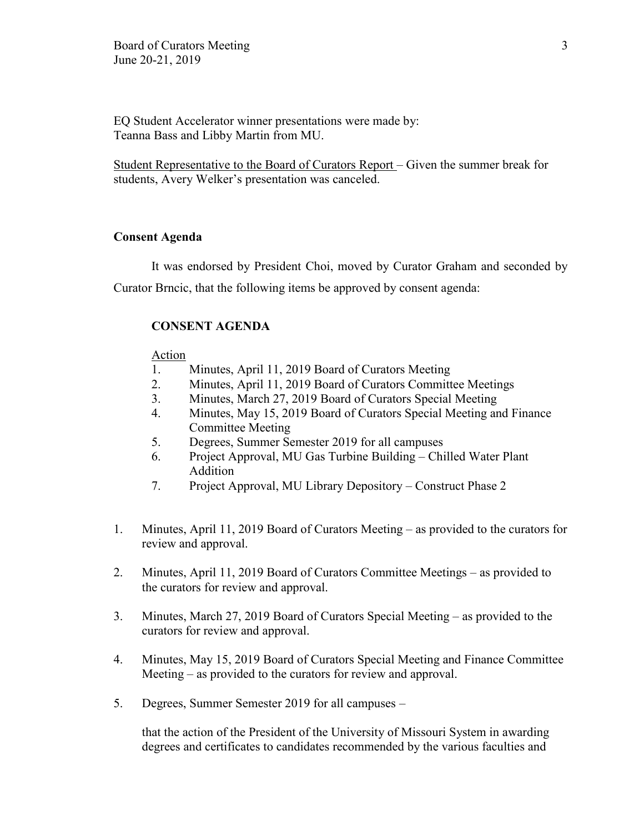EQ Student Accelerator winner presentations were made by: Teanna Bass and Libby Martin from MU.

Student Representative to the Board of Curators Report – Given the summer break for students, Avery Welker's presentation was canceled.

## **Consent Agenda**

It was endorsed by President Choi, moved by Curator Graham and seconded by Curator Brncic, that the following items be approved by consent agenda:

### **CONSENT AGENDA**

#### **Action**

- 1. Minutes, April 11, 2019 Board of Curators Meeting
- 2. Minutes, April 11, 2019 Board of Curators Committee Meetings
- 3. Minutes, March 27, 2019 Board of Curators Special Meeting
- 4. Minutes, May 15, 2019 Board of Curators Special Meeting and Finance Committee Meeting
- 5. Degrees, Summer Semester 2019 for all campuses
- 6. Project Approval, MU Gas Turbine Building Chilled Water Plant Addition
- 7. Project Approval, MU Library Depository Construct Phase 2
- 1. Minutes, April 11, 2019 Board of Curators Meeting as provided to the curators for review and approval.
- 2. Minutes, April 11, 2019 Board of Curators Committee Meetings as provided to the curators for review and approval.
- 3. Minutes, March 27, 2019 Board of Curators Special Meeting as provided to the curators for review and approval.
- 4. Minutes, May 15, 2019 Board of Curators Special Meeting and Finance Committee Meeting – as provided to the curators for review and approval.
- 5. Degrees, Summer Semester 2019 for all campuses –

that the action of the President of the University of Missouri System in awarding degrees and certificates to candidates recommended by the various faculties and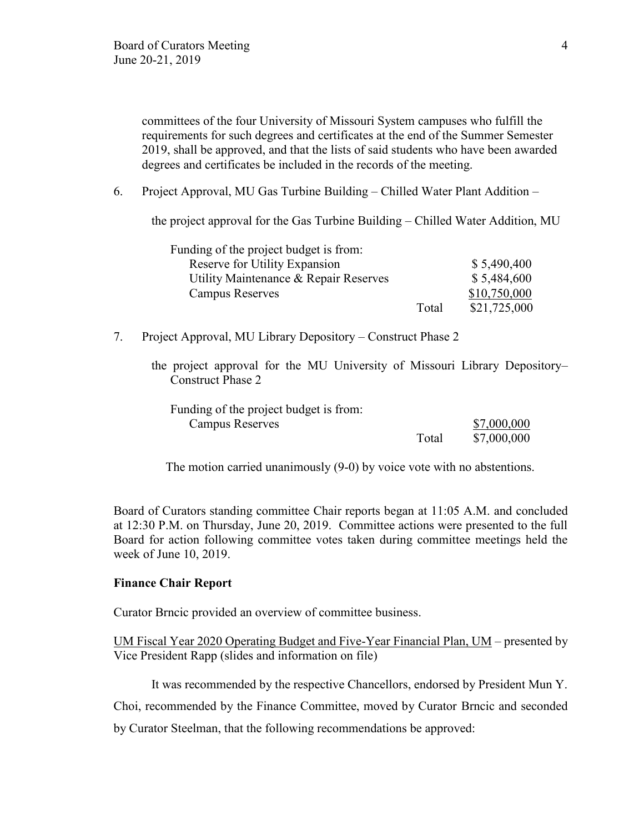committees of the four University of Missouri System campuses who fulfill the requirements for such degrees and certificates at the end of the Summer Semester 2019, shall be approved, and that the lists of said students who have been awarded degrees and certificates be included in the records of the meeting.

6. Project Approval, MU Gas Turbine Building – Chilled Water Plant Addition –

the project approval for the Gas Turbine Building – Chilled Water Addition, MU

| Funding of the project budget is from: |       |              |
|----------------------------------------|-------|--------------|
| Reserve for Utility Expansion          |       | \$5,490,400  |
| Utility Maintenance & Repair Reserves  |       | \$5,484,600  |
| <b>Campus Reserves</b>                 |       | \$10,750,000 |
|                                        | Total | \$21,725,000 |

7. Project Approval, MU Library Depository – Construct Phase 2

the project approval for the MU University of Missouri Library Depository– Construct Phase 2

| Funding of the project budget is from: |       |             |
|----------------------------------------|-------|-------------|
| Campus Reserves                        |       | \$7,000,000 |
|                                        | Total | \$7,000,000 |

The motion carried unanimously (9-0) by voice vote with no abstentions.

Board of Curators standing committee Chair reports began at 11:05 A.M. and concluded at 12:30 P.M. on Thursday, June 20, 2019. Committee actions were presented to the full Board for action following committee votes taken during committee meetings held the week of June 10, 2019.

#### **Finance Chair Report**

Curator Brncic provided an overview of committee business.

UM Fiscal Year 2020 Operating Budget and Five-Year Financial Plan, UM – presented by Vice President Rapp (slides and information on file)

It was recommended by the respective Chancellors, endorsed by President Mun Y.

Choi, recommended by the Finance Committee, moved by Curator Brncic and seconded

by Curator Steelman, that the following recommendations be approved: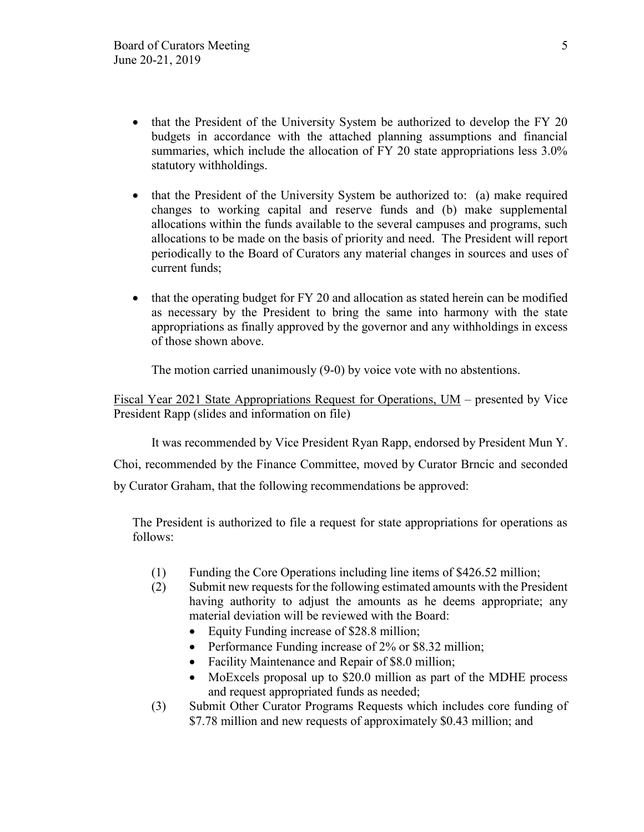- that the President of the University System be authorized to develop the FY 20 budgets in accordance with the attached planning assumptions and financial summaries, which include the allocation of FY 20 state appropriations less  $3.0\%$ statutory withholdings.
- that the President of the University System be authorized to: (a) make required changes to working capital and reserve funds and (b) make supplemental allocations within the funds available to the several campuses and programs, such allocations to be made on the basis of priority and need. The President will report periodically to the Board of Curators any material changes in sources and uses of current funds;
- that the operating budget for FY 20 and allocation as stated herein can be modified as necessary by the President to bring the same into harmony with the state appropriations as finally approved by the governor and any withholdings in excess of those shown above.

The motion carried unanimously (9-0) by voice vote with no abstentions.

Fiscal Year 2021 State Appropriations Request for Operations, UM – presented by Vice President Rapp (slides and information on file)

It was recommended by Vice President Ryan Rapp, endorsed by President Mun Y.

Choi, recommended by the Finance Committee, moved by Curator Brncic and seconded by Curator Graham, that the following recommendations be approved:

The President is authorized to file a request for state appropriations for operations as follows:

- (1) Funding the Core Operations including line items of \$426.52 million;
- (2) Submit new requests for the following estimated amounts with the President having authority to adjust the amounts as he deems appropriate; any material deviation will be reviewed with the Board:
	- Equity Funding increase of \$28.8 million;
	- Performance Funding increase of 2% or \$8.32 million;
	- Facility Maintenance and Repair of \$8.0 million;
	- MoExcels proposal up to \$20.0 million as part of the MDHE process and request appropriated funds as needed;
- (3) Submit Other Curator Programs Requests which includes core funding of \$7.78 million and new requests of approximately \$0.43 million; and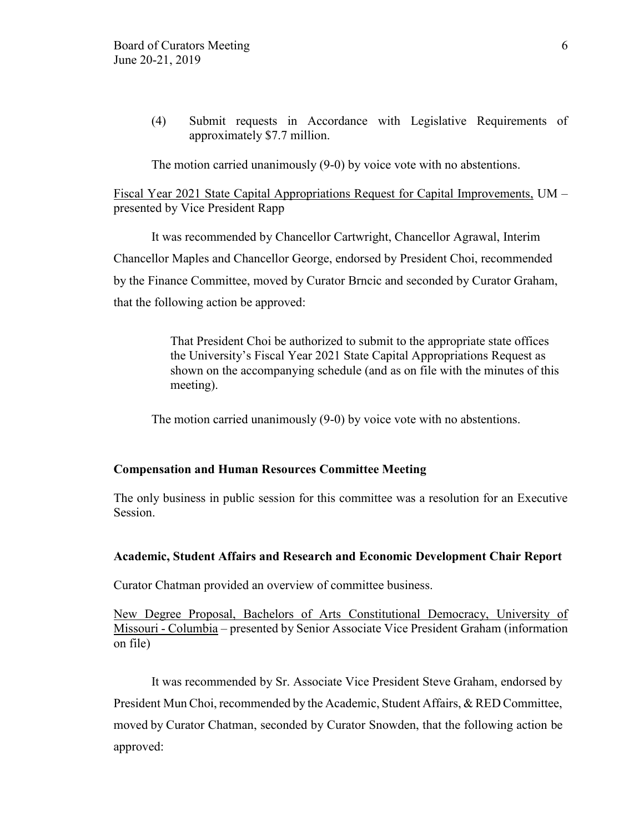(4) Submit requests in Accordance with Legislative Requirements of approximately \$7.7 million.

The motion carried unanimously (9-0) by voice vote with no abstentions.

Fiscal Year 2021 State Capital Appropriations Request for Capital Improvements, UM – presented by Vice President Rapp

It was recommended by Chancellor Cartwright, Chancellor Agrawal, Interim Chancellor Maples and Chancellor George, endorsed by President Choi, recommended by the Finance Committee, moved by Curator Brncic and seconded by Curator Graham, that the following action be approved:

> That President Choi be authorized to submit to the appropriate state offices the University's Fiscal Year 2021 State Capital Appropriations Request as shown on the accompanying schedule (and as on file with the minutes of this meeting).

The motion carried unanimously (9-0) by voice vote with no abstentions.

#### **Compensation and Human Resources Committee Meeting**

The only business in public session for this committee was a resolution for an Executive Session.

#### **Academic, Student Affairs and Research and Economic Development Chair Report**

Curator Chatman provided an overview of committee business.

New Degree Proposal, Bachelors of Arts Constitutional Democracy, University of Missouri - Columbia – presented by Senior Associate Vice President Graham (information on file)

It was recommended by Sr. Associate Vice President Steve Graham, endorsed by President Mun Choi, recommended by the Academic, Student Affairs, & RED Committee, moved by Curator Chatman, seconded by Curator Snowden, that the following action be approved: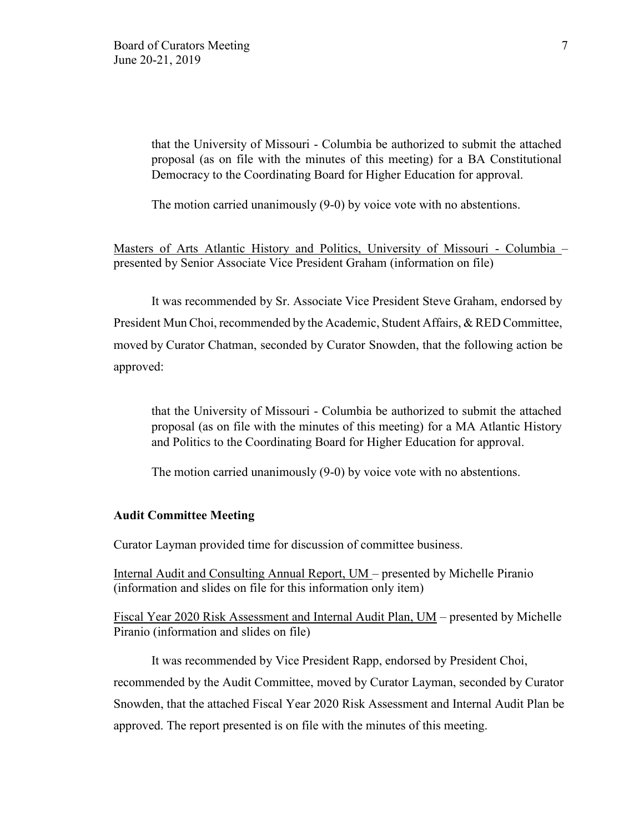that the University of Missouri - Columbia be authorized to submit the attached proposal (as on file with the minutes of this meeting) for a BA Constitutional Democracy to the Coordinating Board for Higher Education for approval.

The motion carried unanimously (9-0) by voice vote with no abstentions.

Masters of Arts Atlantic History and Politics, University of Missouri - Columbia – presented by Senior Associate Vice President Graham (information on file)

It was recommended by Sr. Associate Vice President Steve Graham, endorsed by President Mun Choi, recommended by the Academic, Student Affairs, & RED Committee, moved by Curator Chatman, seconded by Curator Snowden, that the following action be approved:

that the University of Missouri - Columbia be authorized to submit the attached proposal (as on file with the minutes of this meeting) for a MA Atlantic History and Politics to the Coordinating Board for Higher Education for approval.

The motion carried unanimously (9-0) by voice vote with no abstentions.

#### **Audit Committee Meeting**

Curator Layman provided time for discussion of committee business.

Internal Audit and Consulting Annual Report, UM – presented by Michelle Piranio (information and slides on file for this information only item)

Fiscal Year 2020 Risk Assessment and Internal Audit Plan, UM – presented by Michelle Piranio (information and slides on file)

It was recommended by Vice President Rapp, endorsed by President Choi, recommended by the Audit Committee, moved by Curator Layman, seconded by Curator Snowden, that the attached Fiscal Year 2020 Risk Assessment and Internal Audit Plan be approved. The report presented is on file with the minutes of this meeting.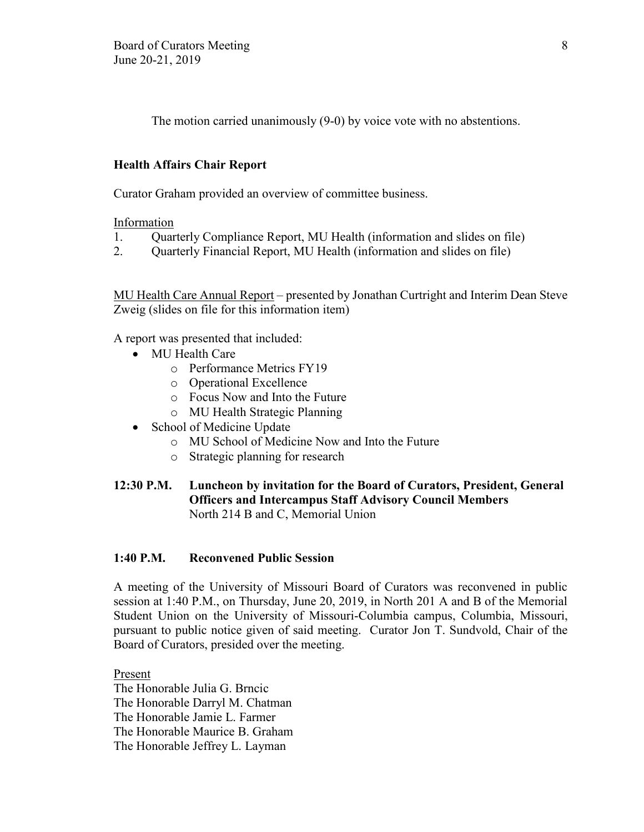The motion carried unanimously (9-0) by voice vote with no abstentions.

## **Health Affairs Chair Report**

Curator Graham provided an overview of committee business.

Information

- 1. Quarterly Compliance Report, MU Health (information and slides on file)
- 2. Quarterly Financial Report, MU Health (information and slides on file)

MU Health Care Annual Report – presented by Jonathan Curtright and Interim Dean Steve Zweig (slides on file for this information item)

A report was presented that included:

- MU Health Care
	- o Performance Metrics FY19
	- o Operational Excellence
	- o Focus Now and Into the Future
	- o MU Health Strategic Planning
- School of Medicine Update
	- o MU School of Medicine Now and Into the Future
	- o Strategic planning for research
- **12:30 P.M. Luncheon by invitation for the Board of Curators, President, General Officers and Intercampus Staff Advisory Council Members** North 214 B and C, Memorial Union

## **1:40 P.M. Reconvened Public Session**

A meeting of the University of Missouri Board of Curators was reconvened in public session at 1:40 P.M., on Thursday, June 20, 2019, in North 201 A and B of the Memorial Student Union on the University of Missouri-Columbia campus, Columbia, Missouri, pursuant to public notice given of said meeting. Curator Jon T. Sundvold, Chair of the Board of Curators, presided over the meeting.

Present The Honorable Julia G. Brncic The Honorable Darryl M. Chatman The Honorable Jamie L. Farmer The Honorable Maurice B. Graham The Honorable Jeffrey L. Layman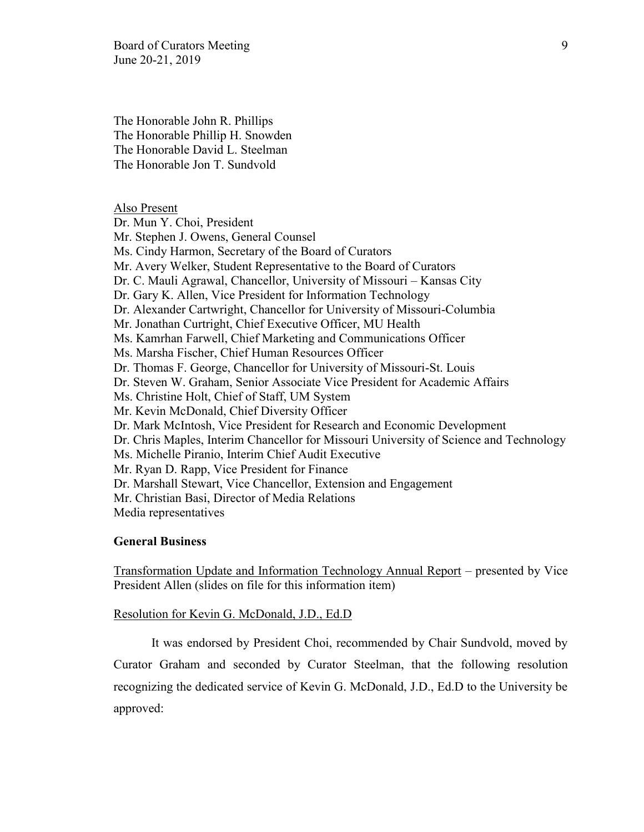Board of Curators Meeting 9 June 20-21, 2019

The Honorable John R. Phillips The Honorable Phillip H. Snowden The Honorable David L. Steelman The Honorable Jon T. Sundvold

### Also Present

Dr. Mun Y. Choi, President Mr. Stephen J. Owens, General Counsel Ms. Cindy Harmon, Secretary of the Board of Curators Mr. Avery Welker, Student Representative to the Board of Curators Dr. C. Mauli Agrawal, Chancellor, University of Missouri – Kansas City Dr. Gary K. Allen, Vice President for Information Technology Dr. Alexander Cartwright, Chancellor for University of Missouri-Columbia Mr. Jonathan Curtright, Chief Executive Officer, MU Health Ms. Kamrhan Farwell, Chief Marketing and Communications Officer Ms. Marsha Fischer, Chief Human Resources Officer Dr. Thomas F. George, Chancellor for University of Missouri-St. Louis Dr. Steven W. Graham, Senior Associate Vice President for Academic Affairs Ms. Christine Holt, Chief of Staff, UM System Mr. Kevin McDonald, Chief Diversity Officer Dr. Mark McIntosh, Vice President for Research and Economic Development Dr. Chris Maples, Interim Chancellor for Missouri University of Science and Technology Ms. Michelle Piranio, Interim Chief Audit Executive Mr. Ryan D. Rapp, Vice President for Finance Dr. Marshall Stewart, Vice Chancellor, Extension and Engagement Mr. Christian Basi, Director of Media Relations Media representatives

#### **General Business**

Transformation Update and Information Technology Annual Report – presented by Vice President Allen (slides on file for this information item)

#### Resolution for Kevin G. McDonald, J.D., Ed.D

It was endorsed by President Choi, recommended by Chair Sundvold, moved by Curator Graham and seconded by Curator Steelman, that the following resolution recognizing the dedicated service of Kevin G. McDonald, J.D., Ed.D to the University be approved: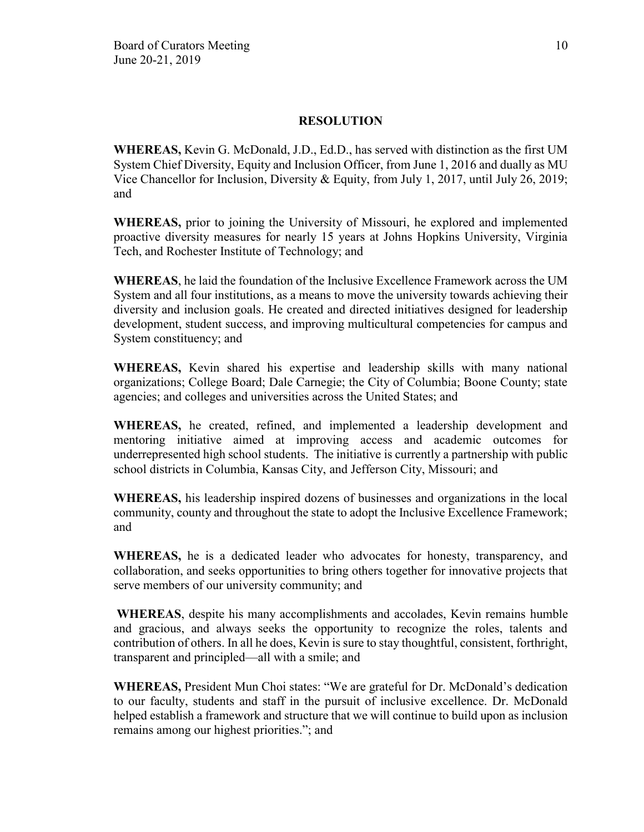**WHEREAS,** Kevin G. McDonald, J.D., Ed.D., has served with distinction as the first UM System Chief Diversity, Equity and Inclusion Officer, from June 1, 2016 and dually as MU Vice Chancellor for Inclusion, Diversity & Equity, from July 1, 2017, until July 26, 2019; and

**WHEREAS,** prior to joining the University of Missouri, he explored and implemented proactive diversity measures for nearly 15 years at Johns Hopkins University, Virginia Tech, and Rochester Institute of Technology; and

**WHEREAS**, he laid the foundation of the Inclusive Excellence Framework across the UM System and all four institutions, as a means to move the university towards achieving their diversity and inclusion goals. He created and directed initiatives designed for leadership development, student success, and improving multicultural competencies for campus and System constituency; and

**WHEREAS,** Kevin shared his expertise and leadership skills with many national organizations; College Board; Dale Carnegie; the City of Columbia; Boone County; state agencies; and colleges and universities across the United States; and

**WHEREAS,** he created, refined, and implemented a leadership development and mentoring initiative aimed at improving access and academic outcomes for underrepresented high school students. The initiative is currently a partnership with public school districts in Columbia, Kansas City, and Jefferson City, Missouri; and

**WHEREAS,** his leadership inspired dozens of businesses and organizations in the local community, county and throughout the state to adopt the Inclusive Excellence Framework; and

**WHEREAS,** he is a dedicated leader who advocates for honesty, transparency, and collaboration, and seeks opportunities to bring others together for innovative projects that serve members of our university community; and

**WHEREAS**, despite his many accomplishments and accolades, Kevin remains humble and gracious, and always seeks the opportunity to recognize the roles, talents and contribution of others. In all he does, Kevin is sure to stay thoughtful, consistent, forthright, transparent and principled—all with a smile; and

**WHEREAS,** President Mun Choi states: "We are grateful for Dr. McDonald's dedication to our faculty, students and staff in the pursuit of inclusive excellence. Dr. McDonald helped establish a framework and structure that we will continue to build upon as inclusion remains among our highest priorities."; and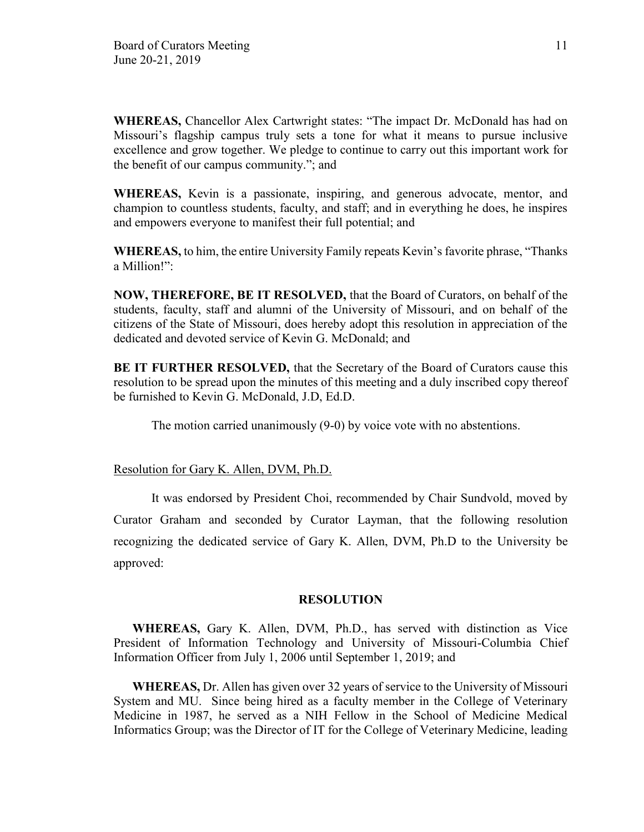**WHEREAS,** Chancellor Alex Cartwright states: "The impact Dr. McDonald has had on Missouri's flagship campus truly sets a tone for what it means to pursue inclusive excellence and grow together. We pledge to continue to carry out this important work for the benefit of our campus community."; and

**WHEREAS,** Kevin is a passionate, inspiring, and generous advocate, mentor, and champion to countless students, faculty, and staff; and in everything he does, he inspires and empowers everyone to manifest their full potential; and

**WHEREAS,** to him, the entire University Family repeats Kevin's favorite phrase, "Thanks a Million!":

**NOW, THEREFORE, BE IT RESOLVED,** that the Board of Curators, on behalf of the students, faculty, staff and alumni of the University of Missouri, and on behalf of the citizens of the State of Missouri, does hereby adopt this resolution in appreciation of the dedicated and devoted service of Kevin G. McDonald; and

**BE IT FURTHER RESOLVED,** that the Secretary of the Board of Curators cause this resolution to be spread upon the minutes of this meeting and a duly inscribed copy thereof be furnished to Kevin G. McDonald, J.D, Ed.D.

The motion carried unanimously (9-0) by voice vote with no abstentions.

Resolution for Gary K. Allen, DVM, Ph.D.

It was endorsed by President Choi, recommended by Chair Sundvold, moved by Curator Graham and seconded by Curator Layman, that the following resolution recognizing the dedicated service of Gary K. Allen, DVM, Ph.D to the University be approved:

## **RESOLUTION**

**WHEREAS,** Gary K. Allen, DVM, Ph.D., has served with distinction as Vice President of Information Technology and University of Missouri-Columbia Chief Information Officer from July 1, 2006 until September 1, 2019; and

**WHEREAS,** Dr. Allen has given over 32 years of service to the University of Missouri System and MU. Since being hired as a faculty member in the College of Veterinary Medicine in 1987, he served as a NIH Fellow in the School of Medicine Medical Informatics Group; was the Director of IT for the College of Veterinary Medicine, leading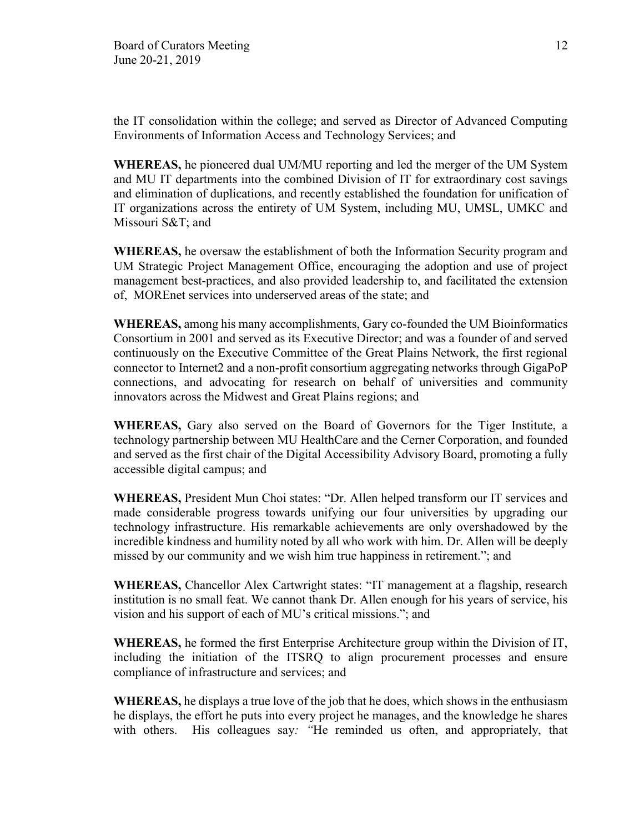the IT consolidation within the college; and served as Director of Advanced Computing Environments of Information Access and Technology Services; and

**WHEREAS,** he pioneered dual UM/MU reporting and led the merger of the UM System and MU IT departments into the combined Division of IT for extraordinary cost savings and elimination of duplications, and recently established the foundation for unification of IT organizations across the entirety of UM System, including MU, UMSL, UMKC and Missouri S&T; and

**WHEREAS,** he oversaw the establishment of both the Information Security program and UM Strategic Project Management Office, encouraging the adoption and use of project management best-practices, and also provided leadership to, and facilitated the extension of, MOREnet services into underserved areas of the state; and

**WHEREAS,** among his many accomplishments, Gary co-founded the UM Bioinformatics Consortium in 2001 and served as its Executive Director; and was a founder of and served continuously on the Executive Committee of the Great Plains Network, the first regional connector to Internet2 and a non-profit consortium aggregating networks through GigaPoP connections, and advocating for research on behalf of universities and community innovators across the Midwest and Great Plains regions; and

**WHEREAS,** Gary also served on the Board of Governors for the Tiger Institute, a technology partnership between MU HealthCare and the Cerner Corporation, and founded and served as the first chair of the Digital Accessibility Advisory Board, promoting a fully accessible digital campus; and

**WHEREAS,** President Mun Choi states: "Dr. Allen helped transform our IT services and made considerable progress towards unifying our four universities by upgrading our technology infrastructure. His remarkable achievements are only overshadowed by the incredible kindness and humility noted by all who work with him. Dr. Allen will be deeply missed by our community and we wish him true happiness in retirement."; and

**WHEREAS,** Chancellor Alex Cartwright states: "IT management at a flagship, research institution is no small feat. We cannot thank Dr. Allen enough for his years of service, his vision and his support of each of MU's critical missions."; and

**WHEREAS,** he formed the first Enterprise Architecture group within the Division of IT, including the initiation of the ITSRQ to align procurement processes and ensure compliance of infrastructure and services; and

**WHEREAS,** he displays a true love of the job that he does, which shows in the enthusiasm he displays, the effort he puts into every project he manages, and the knowledge he shares with others. His colleagues say*: "*He reminded us often, and appropriately, that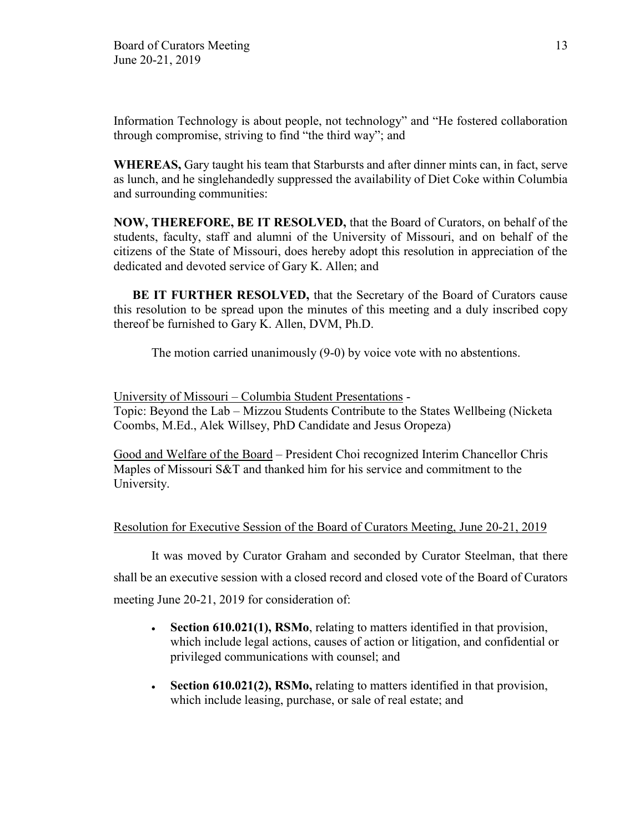Information Technology is about people, not technology" and "He fostered collaboration through compromise, striving to find "the third way"; and

**WHEREAS,** Gary taught his team that Starbursts and after dinner mints can, in fact, serve as lunch, and he singlehandedly suppressed the availability of Diet Coke within Columbia and surrounding communities:

**NOW, THEREFORE, BE IT RESOLVED,** that the Board of Curators, on behalf of the students, faculty, staff and alumni of the University of Missouri, and on behalf of the citizens of the State of Missouri, does hereby adopt this resolution in appreciation of the dedicated and devoted service of Gary K. Allen; and

**BE IT FURTHER RESOLVED,** that the Secretary of the Board of Curators cause this resolution to be spread upon the minutes of this meeting and a duly inscribed copy thereof be furnished to Gary K. Allen, DVM, Ph.D.

The motion carried unanimously (9-0) by voice vote with no abstentions.

University of Missouri – Columbia Student Presentations - Topic: Beyond the Lab – Mizzou Students Contribute to the States Wellbeing (Nicketa Coombs, M.Ed., Alek Willsey, PhD Candidate and Jesus Oropeza)

Good and Welfare of the Board – President Choi recognized Interim Chancellor Chris Maples of Missouri S&T and thanked him for his service and commitment to the University.

## Resolution for Executive Session of the Board of Curators Meeting, June 20-21, 2019

It was moved by Curator Graham and seconded by Curator Steelman, that there shall be an executive session with a closed record and closed vote of the Board of Curators meeting June 20-21, 2019 for consideration of:

- **Section 610.021(1), RSMo**, relating to matters identified in that provision, which include legal actions, causes of action or litigation, and confidential or privileged communications with counsel; and
- **Section 610.021(2), RSMo,** relating to matters identified in that provision, which include leasing, purchase, or sale of real estate; and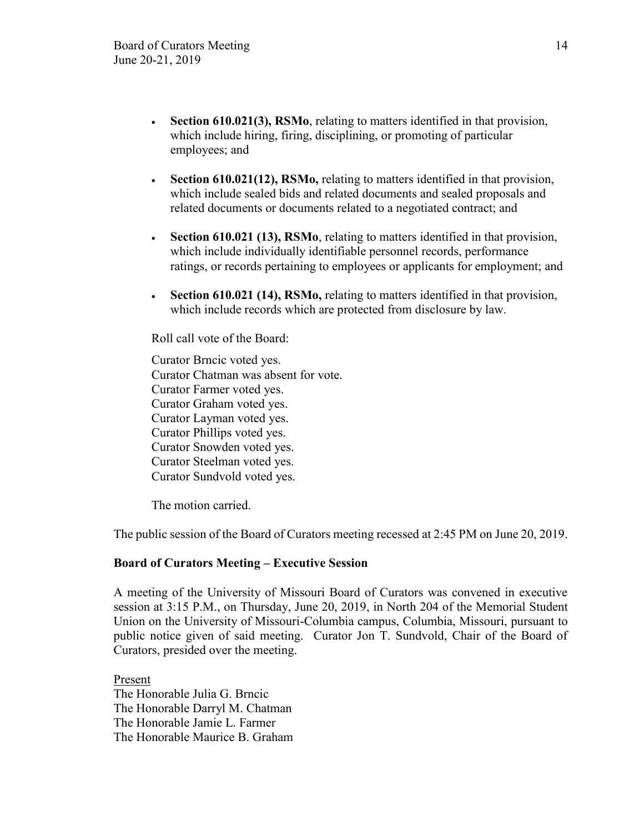- **Section 610.021(3), RSMo**, relating to matters identified in that provision, which include hiring, firing, disciplining, or promoting of particular employees; and
- **Section 610.021(12), RSMo,** relating to matters identified in that provision, which include sealed bids and related documents and sealed proposals and related documents or documents related to a negotiated contract; and
- **Section 610.021 (13), RSMo**, relating to matters identified in that provision, which include individually identifiable personnel records, performance ratings, or records pertaining to employees or applicants for employment; and
- **Section 610.021 (14), RSMo,** relating to matters identified in that provision, which include records which are protected from disclosure by law.

Roll call vote of the Board:

Curator Brncic voted yes. Curator Chatman was absent for vote. Curator Farmer voted yes. Curator Graham voted yes. Curator Layman voted yes. Curator Phillips voted yes. Curator Snowden voted yes. Curator Steelman voted yes. Curator Sundvold voted yes.

The motion carried.

The public session of the Board of Curators meeting recessed at 2:45 PM on June 20, 2019.

## **Board of Curators Meeting – Executive Session**

A meeting of the University of Missouri Board of Curators was convened in executive session at 3:15 P.M., on Thursday, June 20, 2019, in North 204 of the Memorial Student Union on the University of Missouri-Columbia campus, Columbia, Missouri, pursuant to public notice given of said meeting. Curator Jon T. Sundvold, Chair of the Board of Curators, presided over the meeting.

Present The Honorable Julia G. Brncic The Honorable Darryl M. Chatman The Honorable Jamie L. Farmer The Honorable Maurice B. Graham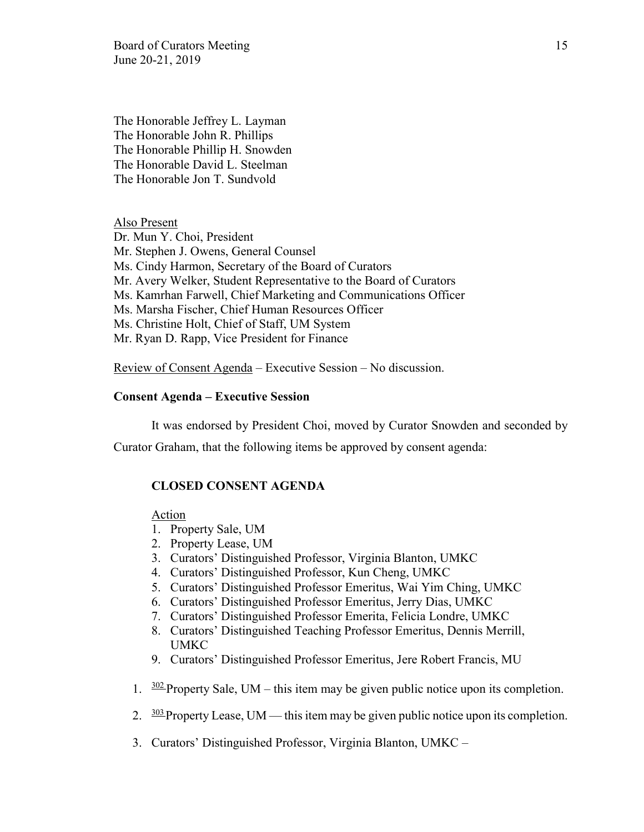Board of Curators Meeting 15 June 20-21, 2019

The Honorable Jeffrey L. Layman The Honorable John R. Phillips The Honorable Phillip H. Snowden The Honorable David L. Steelman The Honorable Jon T. Sundvold

Also Present Dr. Mun Y. Choi, President Mr. Stephen J. Owens, General Counsel Ms. Cindy Harmon, Secretary of the Board of Curators Mr. Avery Welker, Student Representative to the Board of Curators Ms. Kamrhan Farwell, Chief Marketing and Communications Officer Ms. Marsha Fischer, Chief Human Resources Officer Ms. Christine Holt, Chief of Staff, UM System Mr. Ryan D. Rapp, Vice President for Finance

Review of Consent Agenda – Executive Session – No discussion.

#### **Consent Agenda – Executive Session**

It was endorsed by President Choi, moved by Curator Snowden and seconded by

Curator Graham, that the following items be approved by consent agenda:

#### **CLOSED CONSENT AGENDA**

Action

- 1. Property Sale, UM
- 2. Property Lease, UM
- 3. Curators' Distinguished Professor, Virginia Blanton, UMKC
- 4. Curators' Distinguished Professor, Kun Cheng, UMKC
- 5. Curators' Distinguished Professor Emeritus, Wai Yim Ching, UMKC
- 6. Curators' Distinguished Professor Emeritus, Jerry Dias, UMKC
- 7. Curators' Distinguished Professor Emerita, Felicia Londre, UMKC
- 8. Curators' Distinguished Teaching Professor Emeritus, Dennis Merrill, UMKC
- 9. Curators' Distinguished Professor Emeritus, Jere Robert Francis, MU
- 1.  $\frac{302}{2}$ Property Sale, UM this item may be given public notice upon its completion.
- 2.  $\frac{303}{2}$ Property Lease, UM this item may be given public notice upon its completion.
- 3. Curators' Distinguished Professor, Virginia Blanton, UMKC –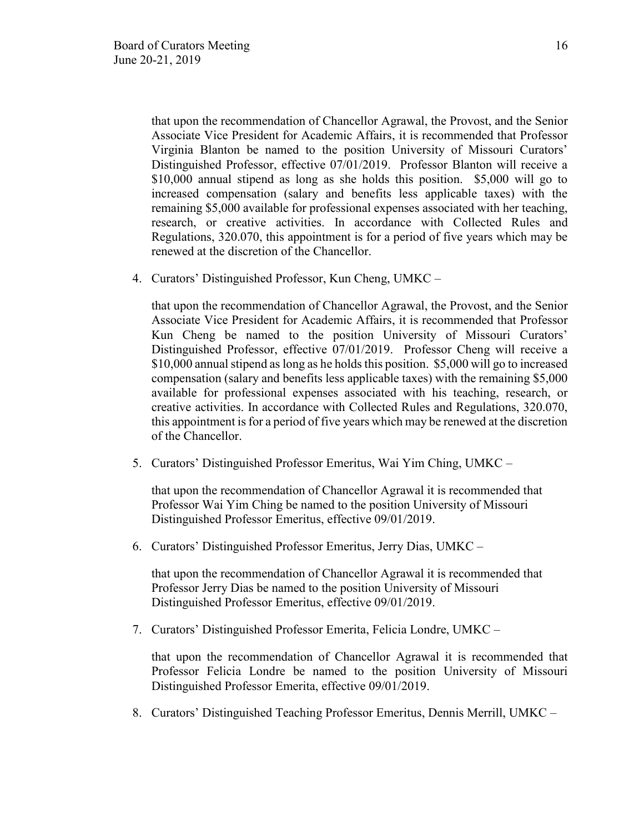that upon the recommendation of Chancellor Agrawal, the Provost, and the Senior Associate Vice President for Academic Affairs, it is recommended that Professor Virginia Blanton be named to the position University of Missouri Curators' Distinguished Professor, effective 07/01/2019. Professor Blanton will receive a \$10,000 annual stipend as long as she holds this position. \$5,000 will go to increased compensation (salary and benefits less applicable taxes) with the remaining \$5,000 available for professional expenses associated with her teaching, research, or creative activities. In accordance with Collected Rules and Regulations, 320.070, this appointment is for a period of five years which may be renewed at the discretion of the Chancellor.

4. Curators' Distinguished Professor, Kun Cheng, UMKC –

that upon the recommendation of Chancellor Agrawal, the Provost, and the Senior Associate Vice President for Academic Affairs, it is recommended that Professor Kun Cheng be named to the position University of Missouri Curators' Distinguished Professor, effective 07/01/2019. Professor Cheng will receive a \$10,000 annual stipend as long as he holds this position. \$5,000 will go to increased compensation (salary and benefits less applicable taxes) with the remaining \$5,000 available for professional expenses associated with his teaching, research, or creative activities. In accordance with Collected Rules and Regulations, 320.070, this appointment is for a period of five years which may be renewed at the discretion of the Chancellor.

5. Curators' Distinguished Professor Emeritus, Wai Yim Ching, UMKC –

that upon the recommendation of Chancellor Agrawal it is recommended that Professor Wai Yim Ching be named to the position University of Missouri Distinguished Professor Emeritus, effective 09/01/2019.

6. Curators' Distinguished Professor Emeritus, Jerry Dias, UMKC –

that upon the recommendation of Chancellor Agrawal it is recommended that Professor Jerry Dias be named to the position University of Missouri Distinguished Professor Emeritus, effective 09/01/2019.

7. Curators' Distinguished Professor Emerita, Felicia Londre, UMKC –

that upon the recommendation of Chancellor Agrawal it is recommended that Professor Felicia Londre be named to the position University of Missouri Distinguished Professor Emerita, effective 09/01/2019.

8. Curators' Distinguished Teaching Professor Emeritus, Dennis Merrill, UMKC –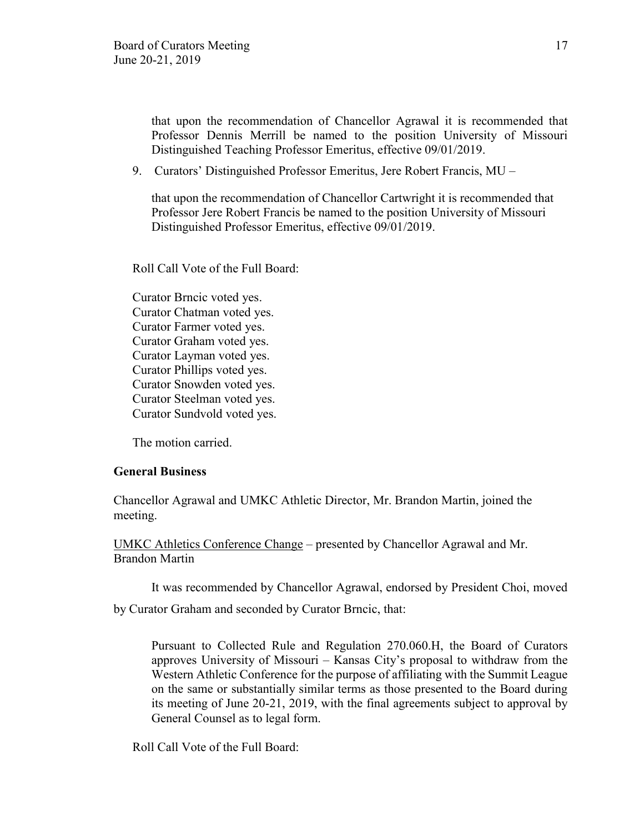that upon the recommendation of Chancellor Agrawal it is recommended that Professor Dennis Merrill be named to the position University of Missouri Distinguished Teaching Professor Emeritus, effective 09/01/2019.

9. Curators' Distinguished Professor Emeritus, Jere Robert Francis, MU –

that upon the recommendation of Chancellor Cartwright it is recommended that Professor Jere Robert Francis be named to the position University of Missouri Distinguished Professor Emeritus, effective 09/01/2019.

Roll Call Vote of the Full Board:

Curator Brncic voted yes. Curator Chatman voted yes. Curator Farmer voted yes. Curator Graham voted yes. Curator Layman voted yes. Curator Phillips voted yes. Curator Snowden voted yes. Curator Steelman voted yes. Curator Sundvold voted yes.

The motion carried.

#### **General Business**

Chancellor Agrawal and UMKC Athletic Director, Mr. Brandon Martin, joined the meeting.

UMKC Athletics Conference Change – presented by Chancellor Agrawal and Mr. Brandon Martin

It was recommended by Chancellor Agrawal, endorsed by President Choi, moved

by Curator Graham and seconded by Curator Brncic, that:

Pursuant to Collected Rule and Regulation 270.060.H, the Board of Curators approves University of Missouri – Kansas City's proposal to withdraw from the Western Athletic Conference for the purpose of affiliating with the Summit League on the same or substantially similar terms as those presented to the Board during its meeting of June 20-21, 2019, with the final agreements subject to approval by General Counsel as to legal form.

Roll Call Vote of the Full Board: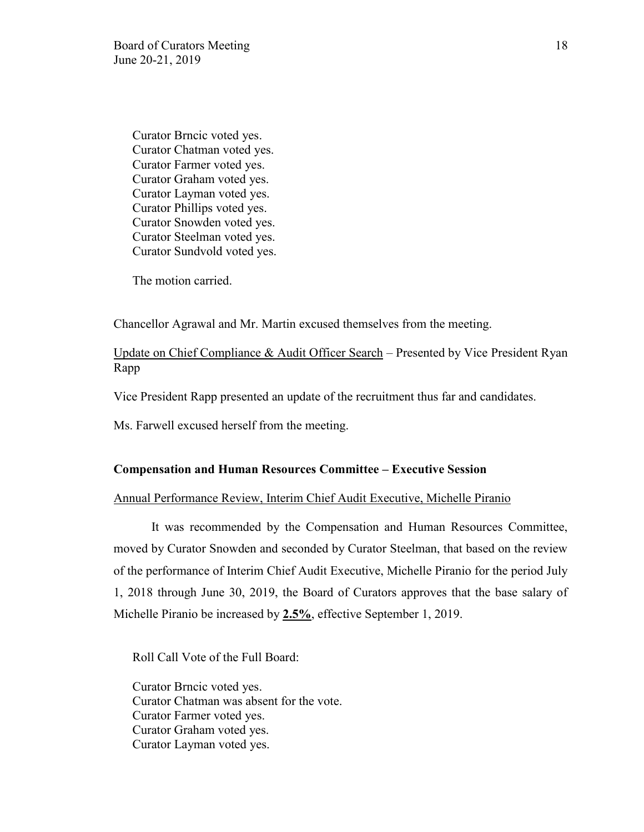Curator Brncic voted yes. Curator Chatman voted yes. Curator Farmer voted yes. Curator Graham voted yes. Curator Layman voted yes. Curator Phillips voted yes. Curator Snowden voted yes. Curator Steelman voted yes. Curator Sundvold voted yes.

The motion carried.

Chancellor Agrawal and Mr. Martin excused themselves from the meeting.

Update on Chief Compliance & Audit Officer Search – Presented by Vice President Ryan Rapp

Vice President Rapp presented an update of the recruitment thus far and candidates.

Ms. Farwell excused herself from the meeting.

#### **Compensation and Human Resources Committee – Executive Session**

# Annual Performance Review, Interim Chief Audit Executive, Michelle Piranio

It was recommended by the Compensation and Human Resources Committee, moved by Curator Snowden and seconded by Curator Steelman, that based on the review of the performance of Interim Chief Audit Executive, Michelle Piranio for the period July 1, 2018 through June 30, 2019, the Board of Curators approves that the base salary of Michelle Piranio be increased by **2.5%**, effective September 1, 2019.

Roll Call Vote of the Full Board:

Curator Brncic voted yes. Curator Chatman was absent for the vote. Curator Farmer voted yes. Curator Graham voted yes. Curator Layman voted yes.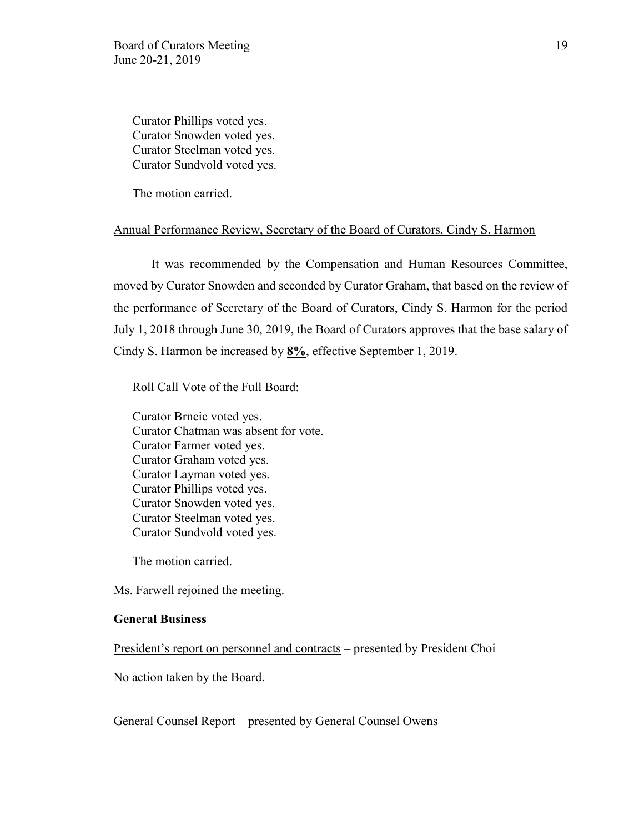Curator Phillips voted yes. Curator Snowden voted yes. Curator Steelman voted yes. Curator Sundvold voted yes.

The motion carried.

#### Annual Performance Review, Secretary of the Board of Curators, Cindy S. Harmon

It was recommended by the Compensation and Human Resources Committee, moved by Curator Snowden and seconded by Curator Graham, that based on the review of the performance of Secretary of the Board of Curators, Cindy S. Harmon for the period July 1, 2018 through June 30, 2019, the Board of Curators approves that the base salary of Cindy S. Harmon be increased by **8%**, effective September 1, 2019.

Roll Call Vote of the Full Board:

Curator Brncic voted yes. Curator Chatman was absent for vote. Curator Farmer voted yes. Curator Graham voted yes. Curator Layman voted yes. Curator Phillips voted yes. Curator Snowden voted yes. Curator Steelman voted yes. Curator Sundvold voted yes.

The motion carried.

Ms. Farwell rejoined the meeting.

#### **General Business**

President's report on personnel and contracts – presented by President Choi

No action taken by the Board.

General Counsel Report – presented by General Counsel Owens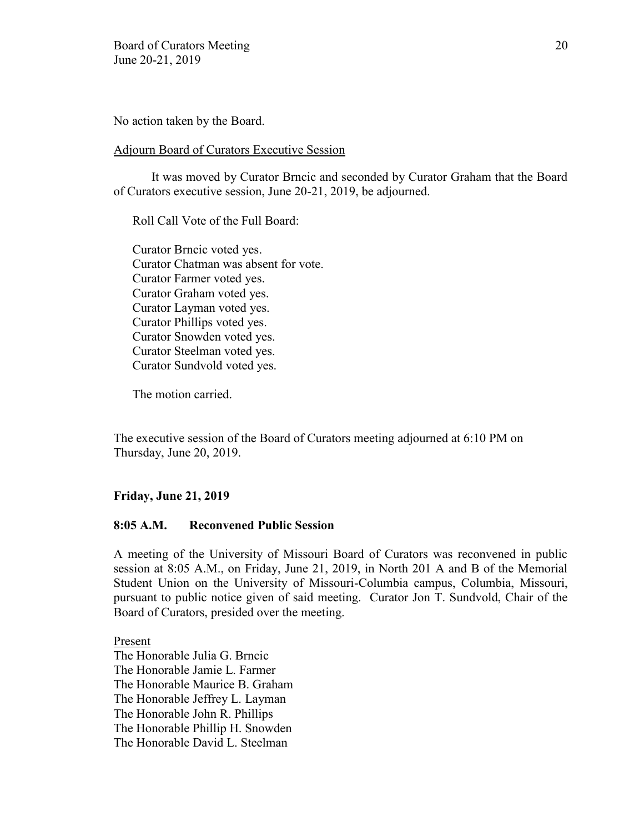No action taken by the Board.

### Adjourn Board of Curators Executive Session

It was moved by Curator Brncic and seconded by Curator Graham that the Board of Curators executive session, June 20-21, 2019, be adjourned.

Roll Call Vote of the Full Board:

Curator Brncic voted yes. Curator Chatman was absent for vote. Curator Farmer voted yes. Curator Graham voted yes. Curator Layman voted yes. Curator Phillips voted yes. Curator Snowden voted yes. Curator Steelman voted yes. Curator Sundvold voted yes.

The motion carried.

The executive session of the Board of Curators meeting adjourned at 6:10 PM on Thursday, June 20, 2019.

# **Friday, June 21, 2019**

## **8:05 A.M. Reconvened Public Session**

A meeting of the University of Missouri Board of Curators was reconvened in public session at 8:05 A.M., on Friday, June 21, 2019, in North 201 A and B of the Memorial Student Union on the University of Missouri-Columbia campus, Columbia, Missouri, pursuant to public notice given of said meeting. Curator Jon T. Sundvold, Chair of the Board of Curators, presided over the meeting.

Present

The Honorable Julia G. Brncic The Honorable Jamie L. Farmer The Honorable Maurice B. Graham The Honorable Jeffrey L. Layman The Honorable John R. Phillips The Honorable Phillip H. Snowden The Honorable David L. Steelman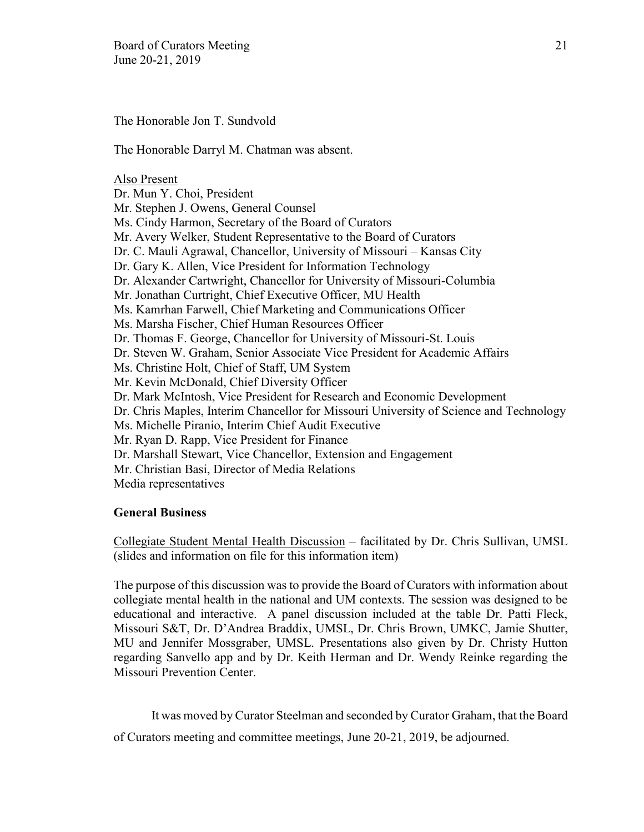The Honorable Jon T. Sundvold

The Honorable Darryl M. Chatman was absent.

#### Also Present

Dr. Mun Y. Choi, President Mr. Stephen J. Owens, General Counsel Ms. Cindy Harmon, Secretary of the Board of Curators Mr. Avery Welker, Student Representative to the Board of Curators Dr. C. Mauli Agrawal, Chancellor, University of Missouri – Kansas City Dr. Gary K. Allen, Vice President for Information Technology Dr. Alexander Cartwright, Chancellor for University of Missouri-Columbia Mr. Jonathan Curtright, Chief Executive Officer, MU Health Ms. Kamrhan Farwell, Chief Marketing and Communications Officer Ms. Marsha Fischer, Chief Human Resources Officer Dr. Thomas F. George, Chancellor for University of Missouri-St. Louis Dr. Steven W. Graham, Senior Associate Vice President for Academic Affairs Ms. Christine Holt, Chief of Staff, UM System Mr. Kevin McDonald, Chief Diversity Officer Dr. Mark McIntosh, Vice President for Research and Economic Development Dr. Chris Maples, Interim Chancellor for Missouri University of Science and Technology Ms. Michelle Piranio, Interim Chief Audit Executive Mr. Ryan D. Rapp, Vice President for Finance Dr. Marshall Stewart, Vice Chancellor, Extension and Engagement Mr. Christian Basi, Director of Media Relations Media representatives

## **General Business**

Collegiate Student Mental Health Discussion – facilitated by Dr. Chris Sullivan, UMSL (slides and information on file for this information item)

The purpose of this discussion was to provide the Board of Curators with information about collegiate mental health in the national and UM contexts. The session was designed to be educational and interactive. A panel discussion included at the table Dr. Patti Fleck, Missouri S&T, Dr. D'Andrea Braddix, UMSL, Dr. Chris Brown, UMKC, Jamie Shutter, MU and Jennifer Mossgraber, UMSL. Presentations also given by Dr. Christy Hutton regarding Sanvello app and by Dr. Keith Herman and Dr. Wendy Reinke regarding the Missouri Prevention Center.

It was moved by Curator Steelman and seconded by Curator Graham, that the Board

of Curators meeting and committee meetings, June 20-21, 2019, be adjourned.